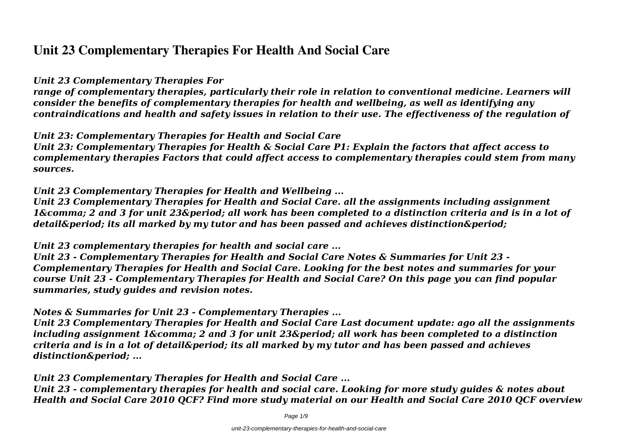# **Unit 23 Complementary Therapies For Health And Social Care**

#### *Unit 23 Complementary Therapies For*

*range of complementary therapies, particularly their role in relation to conventional medicine. Learners will consider the benefits of complementary therapies for health and wellbeing, as well as identifying any contraindications and health and safety issues in relation to their use. The effectiveness of the regulation of*

*Unit 23: Complementary Therapies for Health and Social Care*

*Unit 23: Complementary Therapies for Health & Social Care P1: Explain the factors that affect access to complementary therapies Factors that could affect access to complementary therapies could stem from many sources.*

*Unit 23 Complementary Therapies for Health and Wellbeing ...*

*Unit 23 Complementary Therapies for Health and Social Care. all the assignments including assignment* 1, 2 and 3 for unit 23. all work has been completed to a distinction criteria and is in a lot of *detail. its all marked by my tutor and has been passed and achieves distinction.* 

*Unit 23 complementary therapies for health and social care ...*

*Unit 23 - Complementary Therapies for Health and Social Care Notes & Summaries for Unit 23 - Complementary Therapies for Health and Social Care. Looking for the best notes and summaries for your course Unit 23 - Complementary Therapies for Health and Social Care? On this page you can find popular summaries, study guides and revision notes.*

#### *Notes & Summaries for Unit 23 - Complementary Therapies ...*

*Unit 23 Complementary Therapies for Health and Social Care Last document update: ago all the assignments including assignment 1, 2 and 3 for unit 23. all work has been completed to a distinction criteria and is in a lot of detail. its all marked by my tutor and has been passed and achieves* distinction. ...

*Unit 23 Complementary Therapies for Health and Social Care ...*

*Unit 23 - complementary therapies for health and social care. Looking for more study guides & notes about Health and Social Care 2010 QCF? Find more study material on our Health and Social Care 2010 QCF overview*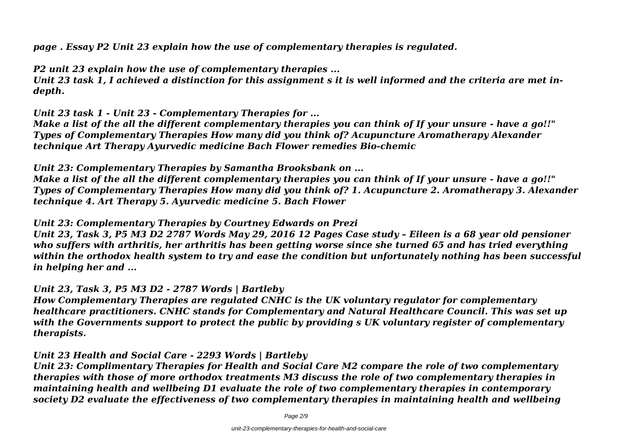*page . Essay P2 Unit 23 explain how the use of complementary therapies is regulated.*

*P2 unit 23 explain how the use of complementary therapies ...*

*Unit 23 task 1, I achieved a distinction for this assignment s it is well informed and the criteria are met indepth.*

*Unit 23 task 1 - Unit 23 - Complementary Therapies for ...*

*Make a list of the all the different complementary therapies you can think of If your unsure - have a go!!" Types of Complementary Therapies How many did you think of? Acupuncture Aromatherapy Alexander technique Art Therapy Ayurvedic medicine Bach Flower remedies Bio-chemic*

*Unit 23: Complementary Therapies by Samantha Brooksbank on ...*

*Make a list of the all the different complementary therapies you can think of If your unsure - have a go!!" Types of Complementary Therapies How many did you think of? 1. Acupuncture 2. Aromatherapy 3. Alexander technique 4. Art Therapy 5. Ayurvedic medicine 5. Bach Flower*

*Unit 23: Complementary Therapies by Courtney Edwards on Prezi*

*Unit 23, Task 3, P5 M3 D2 2787 Words May 29, 2016 12 Pages Case study – Eileen is a 68 year old pensioner who suffers with arthritis, her arthritis has been getting worse since she turned 65 and has tried everything within the orthodox health system to try and ease the condition but unfortunately nothing has been successful in helping her and ...*

*Unit 23, Task 3, P5 M3 D2 - 2787 Words | Bartleby*

*How Complementary Therapies are regulated CNHC is the UK voluntary regulator for complementary healthcare practitioners. CNHC stands for Complementary and Natural Healthcare Council. This was set up with the Governments support to protect the public by providing s UK voluntary register of complementary therapists.*

*Unit 23 Health and Social Care - 2293 Words | Bartleby*

*Unit 23: Complimentary Therapies for Health and Social Care M2 compare the role of two complementary therapies with those of more orthodox treatments M3 discuss the role of two complementary therapies in maintaining health and wellbeing D1 evaluate the role of two complementary therapies in contemporary society D2 evaluate the effectiveness of two complementary therapies in maintaining health and wellbeing*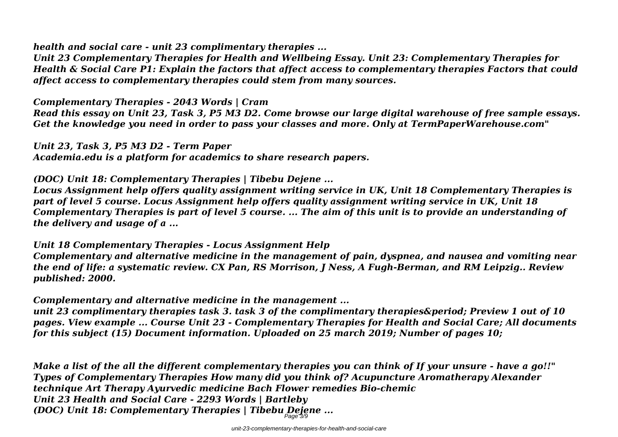*health and social care - unit 23 complimentary therapies ...*

*Unit 23 Complementary Therapies for Health and Wellbeing Essay. Unit 23: Complementary Therapies for Health & Social Care P1: Explain the factors that affect access to complementary therapies Factors that could affect access to complementary therapies could stem from many sources.*

*Complementary Therapies - 2043 Words | Cram*

*Read this essay on Unit 23, Task 3, P5 M3 D2. Come browse our large digital warehouse of free sample essays. Get the knowledge you need in order to pass your classes and more. Only at TermPaperWarehouse.com"*

*Unit 23, Task 3, P5 M3 D2 - Term Paper Academia.edu is a platform for academics to share research papers.*

*(DOC) Unit 18: Complementary Therapies | Tibebu Dejene ...*

*Locus Assignment help offers quality assignment writing service in UK, Unit 18 Complementary Therapies is part of level 5 course. Locus Assignment help offers quality assignment writing service in UK, Unit 18 Complementary Therapies is part of level 5 course. ... The aim of this unit is to provide an understanding of the delivery and usage of a ...*

*Unit 18 Complementary Therapies - Locus Assignment Help Complementary and alternative medicine in the management of pain, dyspnea, and nausea and vomiting near the end of life: a systematic review. CX Pan, RS Morrison, J Ness, A Fugh-Berman, and RM Leipzig.. Review published: 2000.*

*Complementary and alternative medicine in the management ...*

*unit 23 complimentary therapies task 3. task 3 of the complimentary therapies&period: Preview 1 out of 10 pages. View example ... Course Unit 23 - Complementary Therapies for Health and Social Care; All documents for this subject (15) Document information. Uploaded on 25 march 2019; Number of pages 10;*

*Make a list of the all the different complementary therapies you can think of If your unsure - have a go!!" Types of Complementary Therapies How many did you think of? Acupuncture Aromatherapy Alexander technique Art Therapy Ayurvedic medicine Bach Flower remedies Bio-chemic Unit 23 Health and Social Care - 2293 Words | Bartleby (DOC) Unit 18: Complementary Therapies | Tibebu Dejene ...* Page 3/9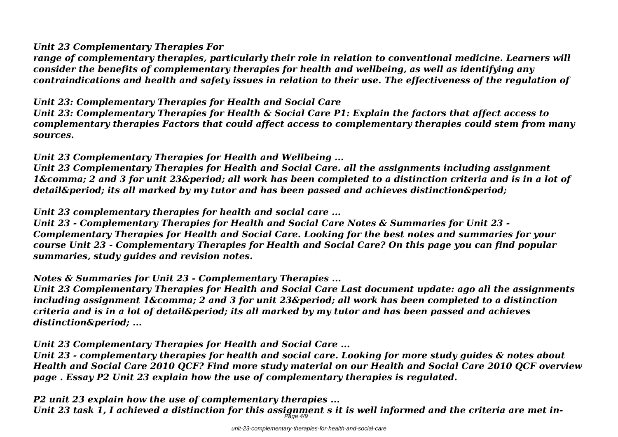#### *Unit 23 Complementary Therapies For*

*range of complementary therapies, particularly their role in relation to conventional medicine. Learners will consider the benefits of complementary therapies for health and wellbeing, as well as identifying any contraindications and health and safety issues in relation to their use. The effectiveness of the regulation of*

## *Unit 23: Complementary Therapies for Health and Social Care*

*Unit 23: Complementary Therapies for Health & Social Care P1: Explain the factors that affect access to complementary therapies Factors that could affect access to complementary therapies could stem from many sources.*

## *Unit 23 Complementary Therapies for Health and Wellbeing ...*

*Unit 23 Complementary Therapies for Health and Social Care. all the assignments including assignment 16. Also and 3 for unit 236 period: all work has been completed to a distinction criteria and is in a lot of* detail&period: its all marked by my tutor and has been passed and achieves distinction&period:

### *Unit 23 complementary therapies for health and social care ...*

*Unit 23 - Complementary Therapies for Health and Social Care Notes & Summaries for Unit 23 - Complementary Therapies for Health and Social Care. Looking for the best notes and summaries for your course Unit 23 - Complementary Therapies for Health and Social Care? On this page you can find popular summaries, study guides and revision notes.*

*Notes & Summaries for Unit 23 - Complementary Therapies ...*

*Unit 23 Complementary Therapies for Health and Social Care Last document update: ago all the assignments including assignment 1&comma: 2 and 3 for unit 23&period: all work has been completed to a distinction criteria and is in a lot of detail. its all marked by my tutor and has been passed and achieves* distinction&period: ...

*Unit 23 Complementary Therapies for Health and Social Care ...*

*Unit 23 - complementary therapies for health and social care. Looking for more study guides & notes about Health and Social Care 2010 QCF? Find more study material on our Health and Social Care 2010 QCF overview page . Essay P2 Unit 23 explain how the use of complementary therapies is regulated.*

*P2 unit 23 explain how the use of complementary therapies ...*

*Unit 23 task 1, I achieved a distinction for this assignment s it is well informed and the criteria are met in-*Page 4/9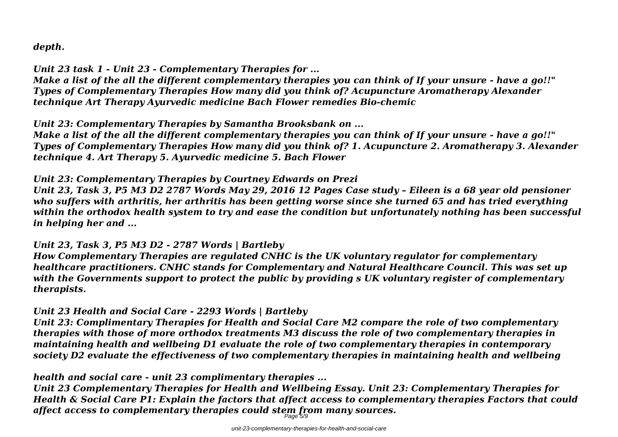*depth.*

*Unit 23 task 1 - Unit 23 - Complementary Therapies for ...*

*Make a list of the all the different complementary therapies you can think of If your unsure - have a go!!" Types of Complementary Therapies How many did you think of? Acupuncture Aromatherapy Alexander technique Art Therapy Ayurvedic medicine Bach Flower remedies Bio-chemic*

*Unit 23: Complementary Therapies by Samantha Brooksbank on ...*

*Make a list of the all the different complementary therapies you can think of If your unsure - have a go!!" Types of Complementary Therapies How many did you think of? 1. Acupuncture 2. Aromatherapy 3. Alexander technique 4. Art Therapy 5. Ayurvedic medicine 5. Bach Flower*

*Unit 23: Complementary Therapies by Courtney Edwards on Prezi*

*Unit 23, Task 3, P5 M3 D2 2787 Words May 29, 2016 12 Pages Case study – Eileen is a 68 year old pensioner who suffers with arthritis, her arthritis has been getting worse since she turned 65 and has tried everything within the orthodox health system to try and ease the condition but unfortunately nothing has been successful in helping her and ...*

#### *Unit 23, Task 3, P5 M3 D2 - 2787 Words | Bartleby*

*How Complementary Therapies are regulated CNHC is the UK voluntary regulator for complementary healthcare practitioners. CNHC stands for Complementary and Natural Healthcare Council. This was set up with the Governments support to protect the public by providing s UK voluntary register of complementary therapists.*

## *Unit 23 Health and Social Care - 2293 Words | Bartleby*

*Unit 23: Complimentary Therapies for Health and Social Care M2 compare the role of two complementary therapies with those of more orthodox treatments M3 discuss the role of two complementary therapies in maintaining health and wellbeing D1 evaluate the role of two complementary therapies in contemporary society D2 evaluate the effectiveness of two complementary therapies in maintaining health and wellbeing*

*health and social care - unit 23 complimentary therapies ...*

*Unit 23 Complementary Therapies for Health and Wellbeing Essay. Unit 23: Complementary Therapies for Health & Social Care P1: Explain the factors that affect access to complementary therapies Factors that could affect access to complementary therapies could stem from many sources.* Page 5/9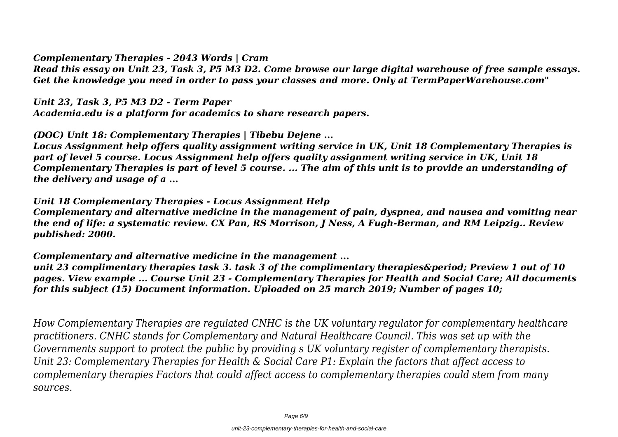*Complementary Therapies - 2043 Words | Cram*

*Read this essay on Unit 23, Task 3, P5 M3 D2. Come browse our large digital warehouse of free sample essays. Get the knowledge you need in order to pass your classes and more. Only at TermPaperWarehouse.com"*

*Unit 23, Task 3, P5 M3 D2 - Term Paper*

*Academia.edu is a platform for academics to share research papers.*

*(DOC) Unit 18: Complementary Therapies | Tibebu Dejene ...*

*Locus Assignment help offers quality assignment writing service in UK, Unit 18 Complementary Therapies is part of level 5 course. Locus Assignment help offers quality assignment writing service in UK, Unit 18 Complementary Therapies is part of level 5 course. ... The aim of this unit is to provide an understanding of the delivery and usage of a ...*

*Unit 18 Complementary Therapies - Locus Assignment Help Complementary and alternative medicine in the management of pain, dyspnea, and nausea and vomiting near the end of life: a systematic review. CX Pan, RS Morrison, J Ness, A Fugh-Berman, and RM Leipzig.. Review published: 2000.*

*Complementary and alternative medicine in the management ...*

*unit 23 complimentary therapies task 3. task 3 of the complimentary therapies&period: Preview 1 out of 10 pages. View example ... Course Unit 23 - Complementary Therapies for Health and Social Care; All documents for this subject (15) Document information. Uploaded on 25 march 2019; Number of pages 10;*

*How Complementary Therapies are regulated CNHC is the UK voluntary regulator for complementary healthcare practitioners. CNHC stands for Complementary and Natural Healthcare Council. This was set up with the Governments support to protect the public by providing s UK voluntary register of complementary therapists. Unit 23: Complementary Therapies for Health & Social Care P1: Explain the factors that affect access to complementary therapies Factors that could affect access to complementary therapies could stem from many sources.*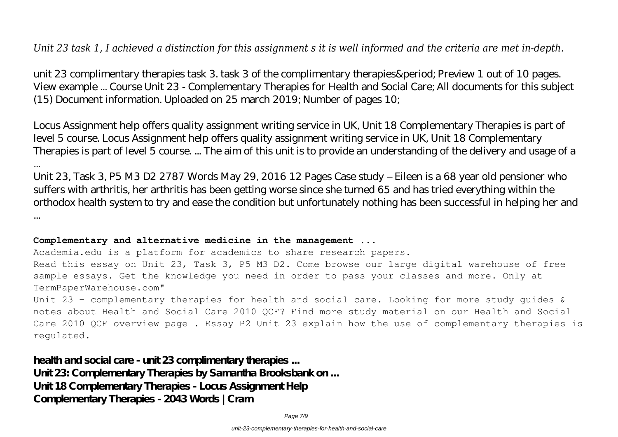*Unit 23 task 1, I achieved a distinction for this assignment s it is well informed and the criteria are met in-depth.*

unit 23 complimentary therapies task 3. task 3 of the complimentary therapies. Preview 1 out of 10 pages. View example ... Course Unit 23 - Complementary Therapies for Health and Social Care; All documents for this subject (15) Document information. Uploaded on 25 march 2019; Number of pages 10;

Locus Assignment help offers quality assignment writing service in UK, Unit 18 Complementary Therapies is part of level 5 course. Locus Assignment help offers quality assignment writing service in UK, Unit 18 Complementary Therapies is part of level 5 course. ... The aim of this unit is to provide an understanding of the delivery and usage of a

Unit 23, Task 3, P5 M3 D2 2787 Words May 29, 2016 12 Pages Case study – Eileen is a 68 year old pensioner who suffers with arthritis, her arthritis has been getting worse since she turned 65 and has tried everything within the orthodox health system to try and ease the condition but unfortunately nothing has been successful in helping her and ...

#### **Complementary and alternative medicine in the management ...**

...

Academia.edu is a platform for academics to share research papers.

Read this essay on Unit 23, Task 3, P5 M3 D2. Come browse our large digital warehouse of free sample essays. Get the knowledge you need in order to pass your classes and more. Only at TermPaperWarehouse.com"

Unit 23 - complementary therapies for health and social care. Looking for more study guides & notes about Health and Social Care 2010 QCF? Find more study material on our Health and Social Care 2010 QCF overview page . Essay P2 Unit 23 explain how the use of complementary therapies is regulated.

**health and social care - unit 23 complimentary therapies ... Unit 23: Complementary Therapies by Samantha Brooksbank on ... Unit 18 Complementary Therapies - Locus Assignment Help Complementary Therapies - 2043 Words | Cram**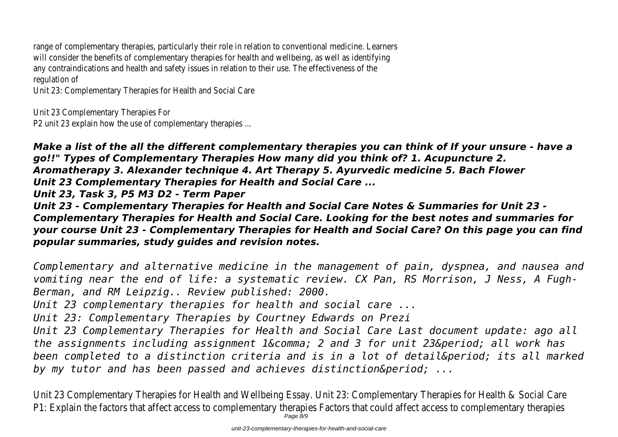range of complementary therapies, particularly their role in relation to conventional medicine. Learners will consider the benefits of complementary therapies for health and wellbeing, as well as identifying any contraindications and health and safety issues in relation to their use. The effectiveness of the regulation of

Unit 23: Complementary Therapies for Health and Social Care

Unit 23 Complementary Therapies For

P2 unit 23 explain how the use of complementary therapies ...

*Make a list of the all the different complementary therapies you can think of If your unsure - have a go!!" Types of Complementary Therapies How many did you think of? 1. Acupuncture 2. Aromatherapy 3. Alexander technique 4. Art Therapy 5. Ayurvedic medicine 5. Bach Flower Unit 23 Complementary Therapies for Health and Social Care ... Unit 23, Task 3, P5 M3 D2 - Term Paper Unit 23 - Complementary Therapies for Health and Social Care Notes & Summaries for Unit 23 -*

*Complementary Therapies for Health and Social Care. Looking for the best notes and summaries for your course Unit 23 - Complementary Therapies for Health and Social Care? On this page you can find popular summaries, study guides and revision notes.*

*Complementary and alternative medicine in the management of pain, dyspnea, and nausea and vomiting near the end of life: a systematic review. CX Pan, RS Morrison, J Ness, A Fugh-Berman, and RM Leipzig.. Review published: 2000.*

*Unit 23 complementary therapies for health and social care ...*

*Unit 23: Complementary Therapies by Courtney Edwards on Prezi*

*Unit 23 Complementary Therapies for Health and Social Care Last document update: ago all* the assignments including assignment 1, 2 and 3 for unit 23. all work has been completed to a distinction criteria and is in a lot of detail. its all marked by my tutor and has been passed and achieves distinction&period: ...

Unit 23 Complementary Therapies for Health and Wellbeing Essay. Unit 23: Complementary Therapies for Health & Social Care P1: Explain the factors that affect access to complementary therapies Factors that could affect access to complementary therapies Page 8/9